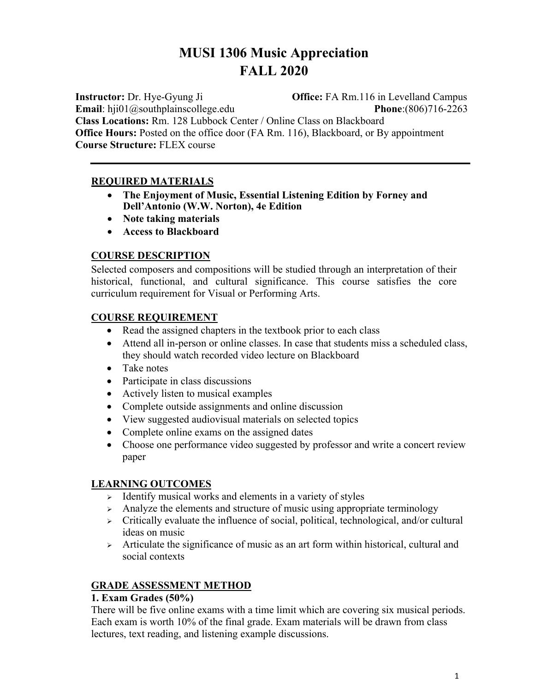# **MUSI 1306 Music Appreciation FALL 2020**

**Instructor:** Dr. Hye-Gyung Ji **Office:** FA Rm.116 in Levelland Campus **Email**: hji01@southplainscollege.edu **Phone**:(806)716-2263

**Class Locations:** Rm. 128 Lubbock Center / Online Class on Blackboard **Office Hours:** Posted on the office door (FA Rm. 116), Blackboard, or By appointment **Course Structure:** FLEX course

### **REQUIRED MATERIALS**

- **The Enjoyment of Music, Essential Listening Edition by Forney and Dell'Antonio (W.W. Norton), 4e Edition**
- **Note taking materials**
- **Access to Blackboard**

### **COURSE DESCRIPTION**

Selected composers and compositions will be studied through an interpretation of their historical, functional, and cultural significance. This course satisfies the core curriculum requirement for Visual or Performing Arts.

### **COURSE REQUIREMENT**

- Read the assigned chapters in the textbook prior to each class
- Attend all in-person or online classes. In case that students miss a scheduled class, they should watch recorded video lecture on Blackboard
- Take notes
- Participate in class discussions
- Actively listen to musical examples
- Complete outside assignments and online discussion
- View suggested audiovisual materials on selected topics
- Complete online exams on the assigned dates
- Choose one performance video suggested by professor and write a concert review paper

### **LEARNING OUTCOMES**

- $\geq$  Identify musical works and elements in a variety of styles
- $\rightarrow$  Analyze the elements and structure of music using appropriate terminology
- $\triangleright$  Critically evaluate the influence of social, political, technological, and/or cultural ideas on music
- $\triangleright$  Articulate the significance of music as an art form within historical, cultural and social contexts

### **GRADE ASSESSMENT METHOD**

### **1. Exam Grades (50%)**

There will be five online exams with a time limit which are covering six musical periods. Each exam is worth 10% of the final grade. Exam materials will be drawn from class lectures, text reading, and listening example discussions.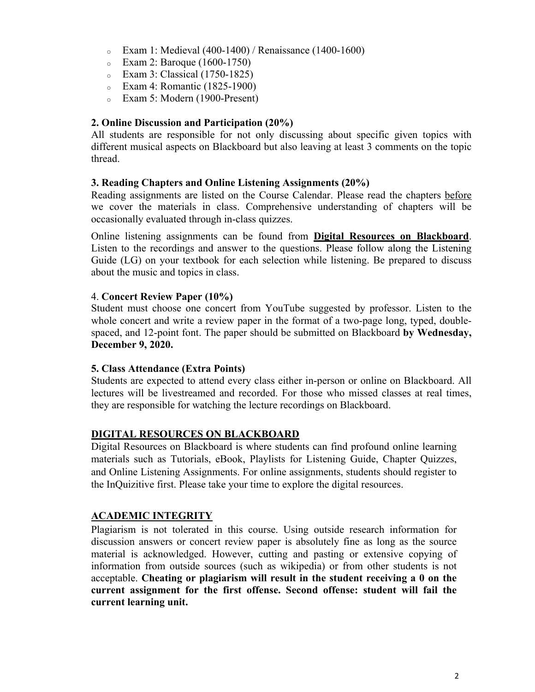- $\textdegree$  Exam 1: Medieval (400-1400) / Renaissance (1400-1600)
- <sup>o</sup> Exam 2: Baroque (1600-1750)
- <sup>o</sup> Exam 3: Classical (1750-1825)
- <sup>o</sup> Exam 4: Romantic (1825-1900)
- <sup>o</sup> Exam 5: Modern (1900-Present)

#### **2. Online Discussion and Participation (20%)**

All students are responsible for not only discussing about specific given topics with different musical aspects on Blackboard but also leaving at least 3 comments on the topic thread.

#### **3. Reading Chapters and Online Listening Assignments (20%)**

Reading assignments are listed on the Course Calendar. Please read the chapters before we cover the materials in class. Comprehensive understanding of chapters will be occasionally evaluated through in-class quizzes.

Online listening assignments can be found from **Digital Resources on Blackboard**. Listen to the recordings and answer to the questions. Please follow along the Listening Guide (LG) on your textbook for each selection while listening. Be prepared to discuss about the music and topics in class.

#### 4. **Concert Review Paper (10%)**

Student must choose one concert from YouTube suggested by professor. Listen to the whole concert and write a review paper in the format of a two-page long, typed, doublespaced, and 12-point font. The paper should be submitted on Blackboard **by Wednesday, December 9, 2020.** 

#### **5. Class Attendance (Extra Points)**

Students are expected to attend every class either in-person or online on Blackboard. All lectures will be livestreamed and recorded. For those who missed classes at real times, they are responsible for watching the lecture recordings on Blackboard.

#### **DIGITAL RESOURCES ON BLACKBOARD**

Digital Resources on Blackboard is where students can find profound online learning materials such as Tutorials, eBook, Playlists for Listening Guide, Chapter Quizzes, and Online Listening Assignments. For online assignments, students should register to the InQuizitive first. Please take your time to explore the digital resources.

#### **ACADEMIC INTEGRITY**

Plagiarism is not tolerated in this course. Using outside research information for discussion answers or concert review paper is absolutely fine as long as the source material is acknowledged. However, cutting and pasting or extensive copying of information from outside sources (such as wikipedia) or from other students is not acceptable. **Cheating or plagiarism will result in the student receiving a 0 on the current assignment for the first offense. Second offense: student will fail the current learning unit.**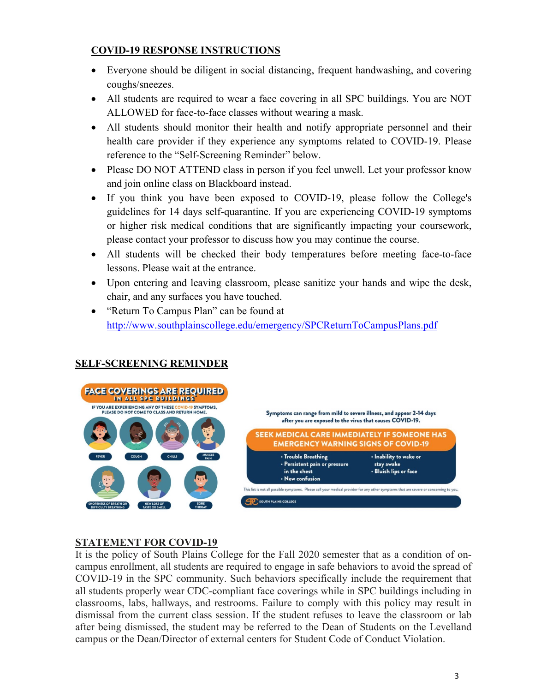### **COVID-19 RESPONSE INSTRUCTIONS**

- Everyone should be diligent in social distancing, frequent handwashing, and covering coughs/sneezes.
- All students are required to wear a face covering in all SPC buildings. You are NOT ALLOWED for face-to-face classes without wearing a mask.
- All students should monitor their health and notify appropriate personnel and their health care provider if they experience any symptoms related to COVID-19. Please reference to the "Self-Screening Reminder" below.
- Please DO NOT ATTEND class in person if you feel unwell. Let your professor know and join online class on Blackboard instead.
- If you think you have been exposed to COVID-19, please follow the College's guidelines for 14 days self-quarantine. If you are experiencing COVID-19 symptoms or higher risk medical conditions that are significantly impacting your coursework, please contact your professor to discuss how you may continue the course.
- All students will be checked their body temperatures before meeting face-to-face lessons. Please wait at the entrance.
- Upon entering and leaving classroom, please sanitize your hands and wipe the desk, chair, and any surfaces you have touched.
- "Return To Campus Plan" can be found at http://www.southplainscollege.edu/emergency/SPCReturnToCampusPlans.pdf



### **SELF-SCREENING REMINDER**

### **STATEMENT FOR COVID-19**

It is the policy of South Plains College for the Fall 2020 semester that as a condition of oncampus enrollment, all students are required to engage in safe behaviors to avoid the spread of COVID-19 in the SPC community. Such behaviors specifically include the requirement that all students properly wear CDC-compliant face coverings while in SPC buildings including in classrooms, labs, hallways, and restrooms. Failure to comply with this policy may result in dismissal from the current class session. If the student refuses to leave the classroom or lab after being dismissed, the student may be referred to the Dean of Students on the Levelland campus or the Dean/Director of external centers for Student Code of Conduct Violation.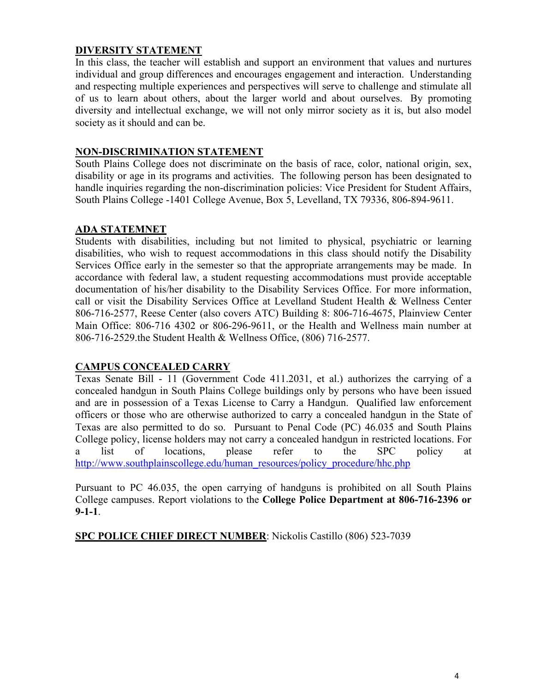### **DIVERSITY STATEMENT**

In this class, the teacher will establish and support an environment that values and nurtures individual and group differences and encourages engagement and interaction. Understanding and respecting multiple experiences and perspectives will serve to challenge and stimulate all of us to learn about others, about the larger world and about ourselves. By promoting diversity and intellectual exchange, we will not only mirror society as it is, but also model society as it should and can be.

### **NON-DISCRIMINATION STATEMENT**

South Plains College does not discriminate on the basis of race, color, national origin, sex, disability or age in its programs and activities. The following person has been designated to handle inquiries regarding the non-discrimination policies: Vice President for Student Affairs, South Plains College -1401 College Avenue, Box 5, Levelland, TX 79336, 806-894-9611.

#### **ADA STATEMNET**

Students with disabilities, including but not limited to physical, psychiatric or learning disabilities, who wish to request accommodations in this class should notify the Disability Services Office early in the semester so that the appropriate arrangements may be made. In accordance with federal law, a student requesting accommodations must provide acceptable documentation of his/her disability to the Disability Services Office. For more information, call or visit the Disability Services Office at Levelland Student Health & Wellness Center 806-716-2577, Reese Center (also covers ATC) Building 8: 806-716-4675, Plainview Center Main Office: 806-716 4302 or 806-296-9611, or the Health and Wellness main number at 806-716-2529.the Student Health & Wellness Office, (806) 716-2577.

### **CAMPUS CONCEALED CARRY**

Texas Senate Bill - 11 (Government Code 411.2031, et al.) authorizes the carrying of a concealed handgun in South Plains College buildings only by persons who have been issued and are in possession of a Texas License to Carry a Handgun. Qualified law enforcement officers or those who are otherwise authorized to carry a concealed handgun in the State of Texas are also permitted to do so. Pursuant to Penal Code (PC) 46.035 and South Plains College policy, license holders may not carry a concealed handgun in restricted locations. For a list of locations, please refer to the SPC policy at http://www.southplainscollege.edu/human\_resources/policy\_procedure/hhc.php

Pursuant to PC 46.035, the open carrying of handguns is prohibited on all South Plains College campuses. Report violations to the **College Police Department at 806-716-2396 or 9-1-1**.

**SPC POLICE CHIEF DIRECT NUMBER**: Nickolis Castillo (806) 523-7039